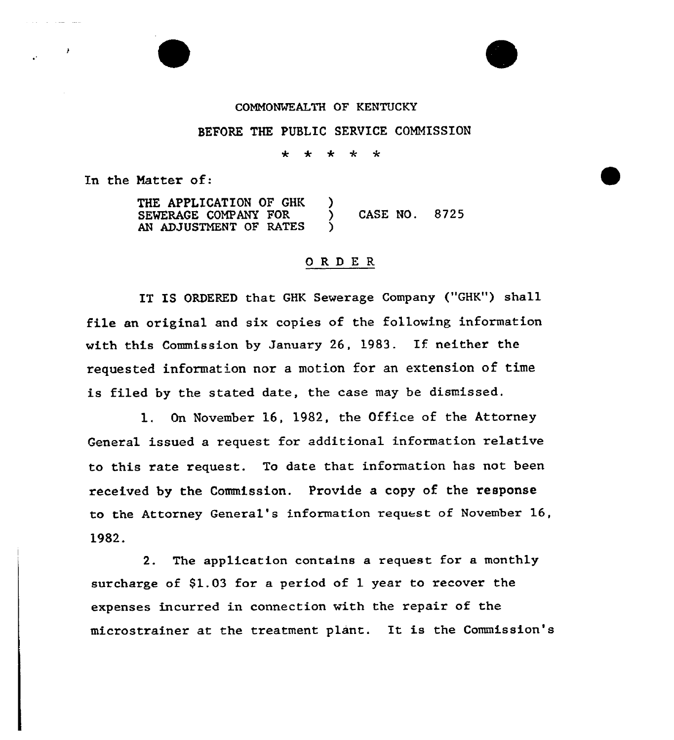## COMMONWEALTH OF KENTUCKY

## BEFORE THE PUBLIC SERVICE COMMISSION

\* \* \* \* \*

In the Matter of:

THE APPLICATION OF GHK )<br>SEWERAGE COMPANY FOR ) SEWERAGE COMPANY FOR  $\overrightarrow{)}$  CASE NO. 8725 AN ADJUSTMENT OF RATES

## ORDER

IT IS ORDERED that GHK Sewerage Company ("GHK") shall file an original and six copies of the following information with this Commission by January 26, 1983. If neither the requested information nor a motion for an extension of time is filed by the stated date, the case may be dismissed.

1. On November 16, 1982, the Office of the Attorney General issued a request for additional information relative to this rate request. To date that information has not been received by the Commission. Provide a copy of the response to the Attorney General's information request of November 16, 1982.

2. The application contains a request for a monthly surcharge of  $$1.03$  for a period of 1 year to recover the expenses incurred in connection with the repair of the microstrainer at the treatment plant. It is the Commission's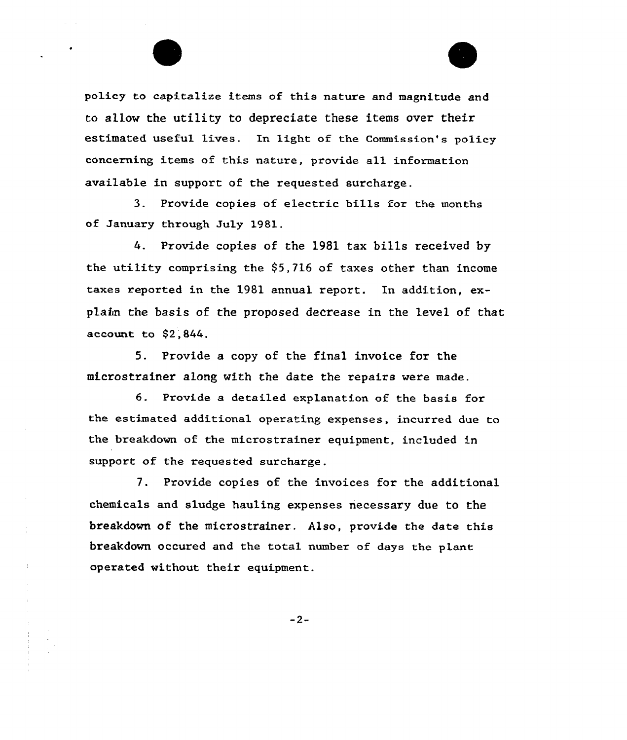policy to capitalize items of this nature and magnitude and to allow the utility to depreciate these items over their estimated useful lives. In light of the Commission's policy concerning items of this nature, provide a11 information available in support of the requested surcharge.

3. Provide copies of electric bills for the months of January through July 1981.

4. Provide copies of the 1981 tax bills received by the utility comprising the  $$5,716$  of taxes other than income taxes reported in the 1981 annual report. In addition, explain the basis of the proposed decrease in the level of that account to \$2;844.

5. Provide a copy of the final invoice for the microstrainer along with the date the repairs were made.

6. Provide <sup>a</sup> detailed explanation of the basis for the estimated additional operating expenses, incurred due to the breakdown of the microstrainer equipment, included in support of the requested surcharge.

7. Provide copies of the invoices for the additional chemicals and sludge hauling expenses necessary due to the breakdown of the microstrainer. Also, provide the date this breakdown occured and the total number of days the plane operated without their equipment.

 $-2-$